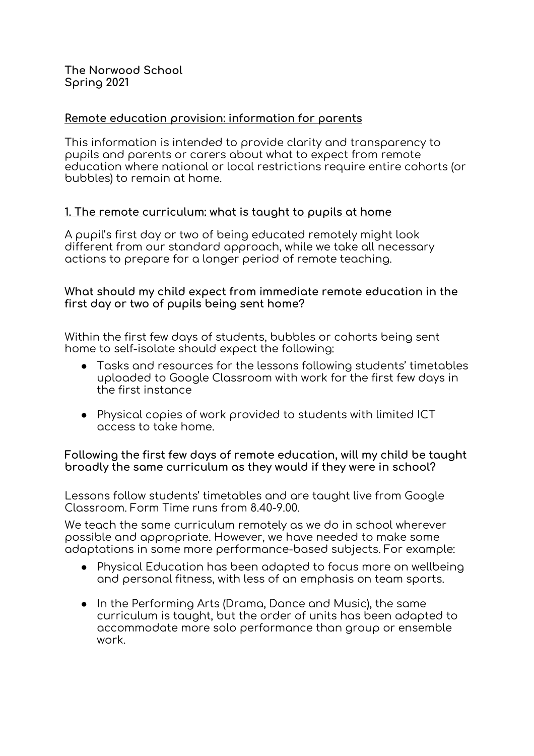**The Norwood School Spring 2021**

### **Remote education provision: information for parents**

This information is intended to provide clarity and transparency to pupils and parents or carers about what to expect from remote education where national or local restrictions require entire cohorts (or bubbles) to remain at home.

#### **1. The remote curriculum: what is taught to pupils at home**

A pupil's first day or two of being educated remotely might look different from our standard approach, while we take all necessary actions to prepare for a longer period of remote teaching.

### **What should my child expect from immediate remote education in the first day or two of pupils being sent home?**

Within the first few days of students, bubbles or cohorts being sent home to self-isolate should expect the following:

- Tasks and resources for the lessons following students' timetables uploaded to Google Classroom with work for the first few days in the first instance
- Physical copies of work provided to students with limited ICT access to take home.

#### **Following the first few days of remote education, will my child be taught broadly the same curriculum as they would if they were in school?**

Lessons follow students' timetables and are taught live from Google Classroom. Form Time runs from 8.40-9.00.

We teach the same curriculum remotely as we do in school wherever possible and appropriate. However, we have needed to make some adaptations in some more performance-based subjects. For example:

- Physical Education has been adapted to focus more on wellbeing and personal fitness, with less of an emphasis on team sports.
- In the Performing Arts (Drama, Dance and Music), the same curriculum is taught, but the order of units has been adapted to accommodate more solo performance than group or ensemble work.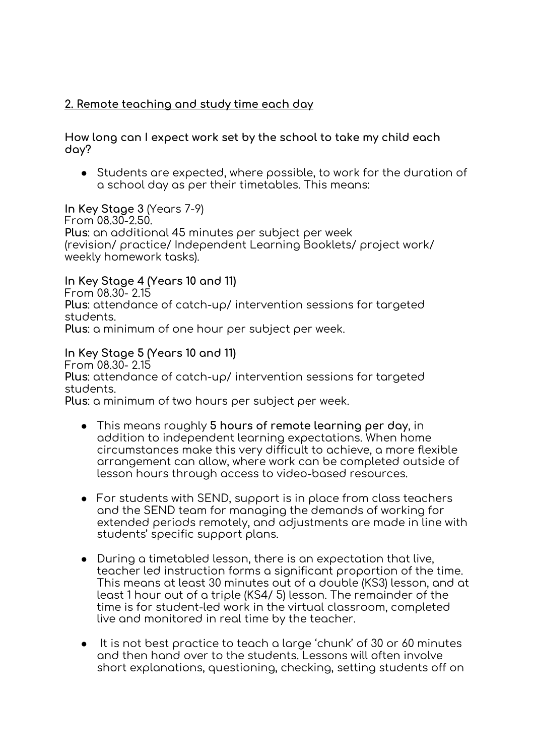# **2. Remote teaching and study time each day**

**How long can I expect work set by the school to take my child each day?**

● Students are expected, where possible, to work for the duration of a school day as per their timetables. This means:

# **In Key Stage 3** (Years 7-9)

From 08.30-2.50. **Plus**: an additional 45 minutes per subject per week (revision/ practice/ Independent Learning Booklets/ project work/ weekly homework tasks).

**In Key Stage 4 (Years 10 and 11)**  From 08.30- 2.15 **Plus**: attendance of catch-up/ intervention sessions for targeted students. **Plus**: a minimum of one hour per subject per week.

## **In Key Stage 5 (Years 10 and 11)**

From 08.30- 2.15

**Plus**: attendance of catch-up/ intervention sessions for targeted students.

**Plus**: a minimum of two hours per subject per week.

- This means roughly **5 hours of remote learning per day**, in addition to independent learning expectations. When home circumstances make this very difficult to achieve, a more flexible arrangement can allow, where work can be completed outside of lesson hours through access to video-based resources.
- For students with SEND, support is in place from class teachers and the SEND team for managing the demands of working for extended periods remotely, and adjustments are made in line with students' specific support plans.
- During a timetabled lesson, there is an expectation that live, teacher led instruction forms a significant proportion of the time. This means at least 30 minutes out of a double (KS3) lesson, and at least 1 hour out of a triple (KS4/ 5) lesson. The remainder of the time is for student-led work in the virtual classroom, completed live and monitored in real time by the teacher.
- It is not best practice to teach a large 'chunk' of 30 or 60 minutes and then hand over to the students. Lessons will often involve short explanations, questioning, checking, setting students off on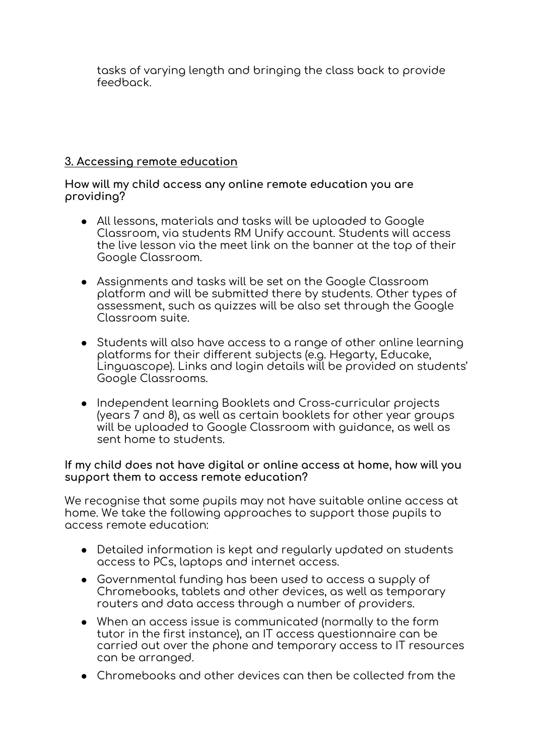tasks of varying length and bringing the class back to provide feedback.

## **3. Accessing remote education**

### **How will my child access any online remote education you are providing?**

- All lessons, materials and tasks will be uploaded to Google Classroom, via students RM Unify account. Students will access the live lesson via the meet link on the banner at the top of their Google Classroom.
- Assignments and tasks will be set on the Google Classroom platform and will be submitted there by students. Other types of assessment, such as quizzes will be also set through the Google Classroom suite.
- Students will also have access to a range of other online learning platforms for their different subjects (e.g. Hegarty, Educake, Linguascope). Links and login details will be provided on students' Google Classrooms.
- Independent learning Booklets and Cross-curricular projects (years 7 and 8), as well as certain booklets for other year groups will be uploaded to Google Classroom with guidance, as well as sent home to students.

#### **If my child does not have digital or online access at home, how will you support them to access remote education?**

We recognise that some pupils may not have suitable online access at home. We take the following approaches to support those pupils to access remote education:

- Detailed information is kept and regularly updated on students access to PCs, laptops and internet access.
- Governmental funding has been used to access a supply of Chromebooks, tablets and other devices, as well as temporary routers and data access through a number of providers.
- When an access issue is communicated (normally to the form tutor in the first instance), an IT access questionnaire can be carried out over the phone and temporary access to IT resources can be arranged.
- Chromebooks and other devices can then be collected from the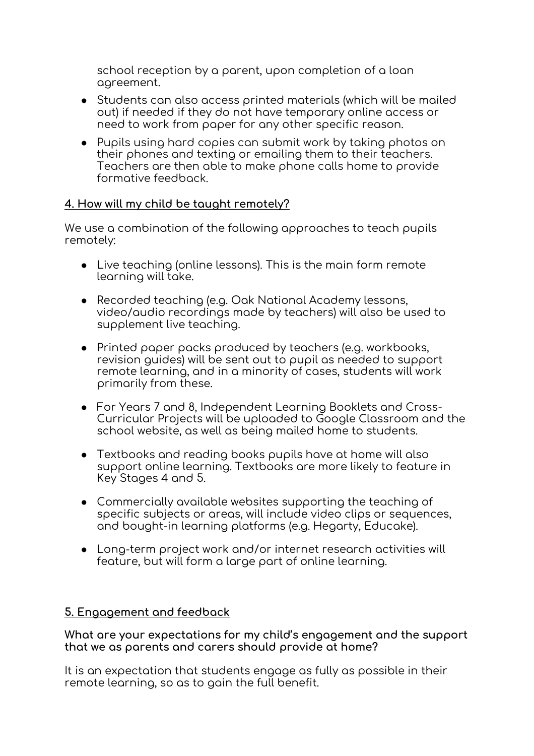school reception by a parent, upon completion of a loan agreement.

- Students can also access printed materials (which will be mailed out) if needed if they do not have temporary online access or need to work from paper for any other specific reason.
- Pupils using hard copies can submit work by taking photos on their phones and texting or emailing them to their teachers. Teachers are then able to make phone calls home to provide formative feedback.

## **4. How will my child be taught remotely?**

We use a combination of the following approaches to teach pupils remotely:

- Live teaching (online lessons). This is the main form remote learning will take.
- Recorded teaching (e.g. Oak National Academy lessons, video/audio recordings made by teachers) will also be used to supplement live teaching.
- Printed paper packs produced by teachers (e.g. workbooks, revision guides) will be sent out to pupil as needed to support remote learning, and in a minority of cases, students will work primarily from these.
- For Years 7 and 8, Independent Learning Booklets and Cross-Curricular Projects will be uploaded to Google Classroom and the school website, as well as being mailed home to students.
- Textbooks and reading books pupils have at home will also support online learning. Textbooks are more likely to feature in Key Stages 4 and 5.
- Commercially available websites supporting the teaching of specific subjects or areas, will include video clips or sequences, and bought-in learning platforms (e.g. Hegarty, Educake).
- Long-term project work and/or internet research activities will feature, but will form a large part of online learning.

# **5. Engagement and feedback**

**What are your expectations for my child's engagement and the support that we as parents and carers should provide at home?**

It is an expectation that students engage as fully as possible in their remote learning, so as to gain the full benefit.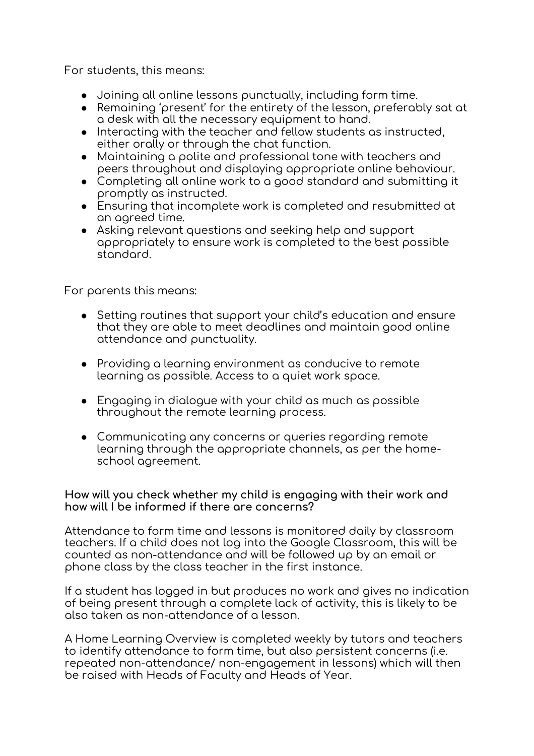For students, this means:

- Joining all online lessons punctually, including form time.
- Remaining 'present' for the entirety of the lesson, preferably sat at a desk with all the necessary equipment to hand.
- Interacting with the teacher and fellow students as instructed, either orally or through the chat function.
- Maintaining a polite and professional tone with teachers and peers throughout and displaying appropriate online behaviour.
- Completing all online work to a good standard and submitting it promptly as instructed.
- Ensuring that incomplete work is completed and resubmitted at an agreed time.
- Asking relevant questions and seeking help and support appropriately to ensure work is completed to the best possible standard.

For parents this means:

- Setting routines that support your child's education and ensure that they are able to meet deadlines and maintain good online attendance and punctuality.
- Providing a learning environment as conducive to remote learning as possible. Access to a quiet work space.
- Engaging in dialogue with your child as much as possible throughout the remote learning process.
- Communicating any concerns or queries regarding remote learning through the appropriate channels, as per the homeschool agreement.

#### **How will you check whether my child is engaging with their work and how will I be informed if there are concerns?**

Attendance to form time and lessons is monitored daily by classroom teachers. If a child does not log into the Google Classroom, this will be counted as non-attendance and will be followed up by an email or phone class by the class teacher in the first instance.

If a student has logged in but produces no work and gives no indication of being present through a complete lack of activity, this is likely to be also taken as non-attendance of a lesson.

A Home Learning Overview is completed weekly by tutors and teachers to identify attendance to form time, but also persistent concerns (i.e. repeated non-attendance/ non-engagement in lessons) which will then be raised with Heads of Faculty and Heads of Year.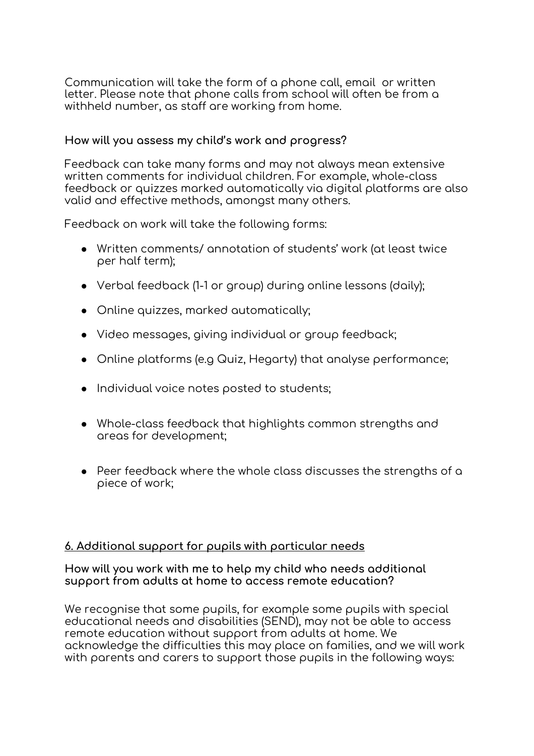Communication will take the form of a phone call, email or written letter. Please note that phone calls from school will often be from a withheld number, as staff are working from home.

### **How will you assess my child's work and progress?**

Feedback can take many forms and may not always mean extensive written comments for individual children. For example, whole-class feedback or quizzes marked automatically via digital platforms are also valid and effective methods, amongst many others.

Feedback on work will take the following forms:

- Written comments/ annotation of students' work (at least twice per half term);
- Verbal feedback (1-1 or group) during online lessons (daily);
- Online quizzes, marked automatically;
- Video messages, giving individual or group feedback;
- Online platforms (e.g Quiz, Hegarty) that analyse performance;
- Individual voice notes posted to students;
- Whole-class feedback that highlights common strengths and areas for development;
- Peer feedback where the whole class discusses the strengths of a piece of work;

## **6. Additional support for pupils with particular needs**

#### **How will you work with me to help my child who needs additional support from adults at home to access remote education?**

We recognise that some pupils, for example some pupils with special educational needs and disabilities (SEND), may not be able to access remote education without support from adults at home. We acknowledge the difficulties this may place on families, and we will work with parents and carers to support those pupils in the following ways: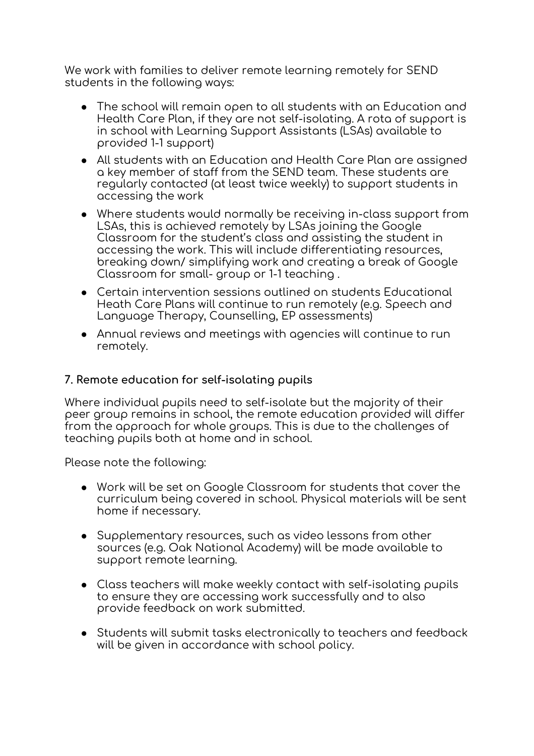We work with families to deliver remote learning remotely for SEND students in the following ways:

- The school will remain open to all students with an Education and Health Care Plan, if they are not self-isolating. A rota of support is in school with Learning Support Assistants (LSAs) available to provided 1-1 support)
- All students with an Education and Health Care Plan are assigned a key member of staff from the SEND team. These students are regularly contacted (at least twice weekly) to support students in accessing the work
- Where students would normally be receiving in-class support from LSAs, this is achieved remotely by LSAs joining the Google Classroom for the student's class and assisting the student in accessing the work. This will include differentiating resources, breaking down/ simplifying work and creating a break of Google Classroom for small- group or 1-1 teaching .
- Certain intervention sessions outlined on students Educational Heath Care Plans will continue to run remotely (e.g. Speech and Language Therapy, Counselling, EP assessments)
- Annual reviews and meetings with agencies will continue to run remotely.

## **7. Remote education for self-isolating pupils**

Where individual pupils need to self-isolate but the majority of their peer group remains in school, the remote education provided will differ from the approach for whole groups. This is due to the challenges of teaching pupils both at home and in school.

Please note the following:

- Work will be set on Google Classroom for students that cover the curriculum being covered in school. Physical materials will be sent home if necessary.
- Supplementary resources, such as video lessons from other sources (e.g. Oak National Academy) will be made available to support remote learning.
- Class teachers will make weekly contact with self-isolating pupils to ensure they are accessing work successfully and to also provide feedback on work submitted.
- Students will submit tasks electronically to teachers and feedback will be given in accordance with school policy.